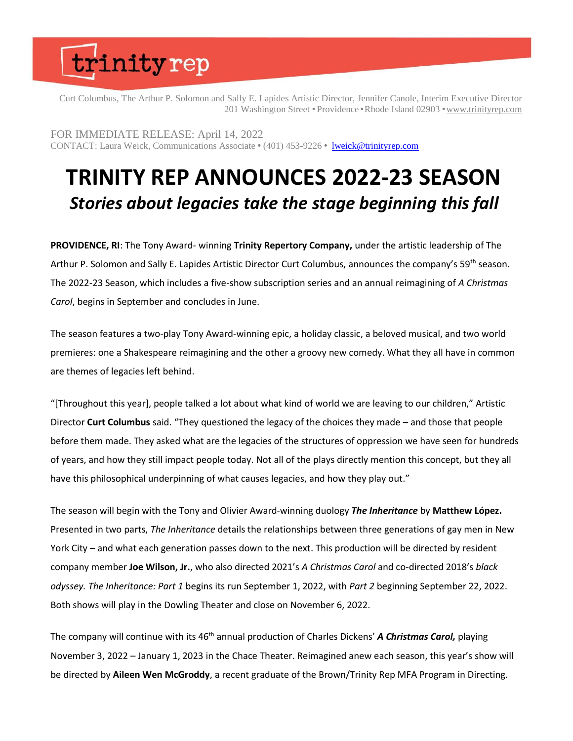Curt Columbus, The Arthur P. Solomon and Sally E. Lapides Artistic Director, Jennifer Canole, Interim Executive Director 201 Washington Street • Providence • Rhode Island 02903 • [www.trinityrep.com](http://www.trinityrep.com/)

FOR IMMEDIATE RELEASE: April 14, 2022 CONTACT: Laura Weick, Communications Associate • (401) 453-9226 • [lweick@trinityrep.com](mailto:lweick@trinityrep.com)

### **TRINITY REP ANNOUNCES 2022-23 SEASON** *Stories about legacies take the stage beginning this fall*

**PROVIDENCE, RI**: The Tony Award- winning **Trinity Repertory Company,** under the artistic leadership of The Arthur P. Solomon and Sally E. Lapides Artistic Director Curt Columbus, announces the company's 59<sup>th</sup> season. The 2022-23 Season, which includes a five-show subscription series and an annual reimagining of *A Christmas Carol*, begins in September and concludes in June.

The season features a two-play Tony Award-winning epic, a holiday classic, a beloved musical, and two world premieres: one a Shakespeare reimagining and the other a groovy new comedy. What they all have in common are themes of legacies left behind.

"[Throughout this year], people talked a lot about what kind of world we are leaving to our children," Artistic Director **Curt Columbus** said. "They questioned the legacy of the choices they made – and those that people before them made. They asked what are the legacies of the structures of oppression we have seen for hundreds of years, and how they still impact people today. Not all of the plays directly mention this concept, but they all have this philosophical underpinning of what causes legacies, and how they play out."

The season will begin with the Tony and Olivier Award-winning duology *The Inheritance* by **Matthew López.**  Presented in two parts, *The Inheritance* details the relationships between three generations of gay men in New York City – and what each generation passes down to the next. This production will be directed by resident company member **Joe Wilson, Jr.**, who also directed 2021's *A Christmas Carol* and co-directed 2018's *black odyssey. The Inheritance: Part 1* begins its run September 1, 2022, with *Part 2* beginning September 22, 2022. Both shows will play in the Dowling Theater and close on November 6, 2022.

The company will continue with its 46<sup>th</sup> annual production of Charles Dickens' **A Christmas Carol**, playing November 3, 2022 – January 1, 2023 in the Chace Theater. Reimagined anew each season, this year's show will be directed by **Aileen Wen McGroddy**, a recent graduate of the Brown/Trinity Rep MFA Program in Directing.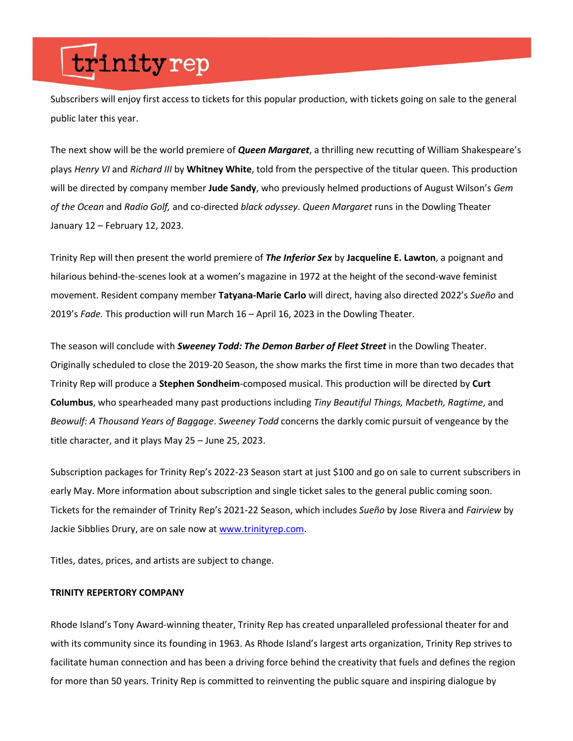Subscribers will enjoy first access to tickets for this popular production, with tickets going on sale to the general public later this year.

The next show will be the world premiere of *Queen Margaret*, a thrilling new recutting of William Shakespeare's plays *Henry VI* and *Richard III* by **Whitney White**, told from the perspective of the titular queen. This production will be directed by company member **Jude Sandy**, who previously helmed productions of August Wilson's *Gem of the Ocean* and *Radio Golf,* and co-directed *black odyssey*. *Queen Margaret* runs in the Dowling Theater January 12 – February 12, 2023.

Trinity Rep will then present the world premiere of *The Inferior Sex* by **Jacqueline E. Lawton**, a poignant and hilarious behind-the-scenes look at a women's magazine in 1972 at the height of the second-wave feminist movement. Resident company member **Tatyana-Marie Carlo** will direct, having also directed 2022's *Sueño* and 2019's *Fade.* This production will run March 16 – April 16, 2023 in the Dowling Theater.

The season will conclude with *Sweeney Todd: The Demon Barber of Fleet Street* in the Dowling Theater. Originally scheduled to close the 2019-20 Season, the show marks the first time in more than two decades that Trinity Rep will produce a **Stephen Sondheim**-composed musical. This production will be directed by **Curt Columbus**, who spearheaded many past productions including *Tiny Beautiful Things, Macbeth, Ragtime*, and *Beowulf: A Thousand Years of Baggage*. *Sweeney Todd* concerns the darkly comic pursuit of vengeance by the title character, and it plays May 25 – June 25, 2023.

Subscription packages for Trinity Rep's 2022-23 Season start at just \$100 and go on sale to current subscribers in early May. More information about subscription and single ticket sales to the general public coming soon. Tickets for the remainder of Trinity Rep's 2021-22 Season, which includes *Sueño* by Jose Rivera and *Fairview* by Jackie Sibblies Drury, are on sale now at [www.trinityrep.com.](http://www.trinityrep.com/)

Titles, dates, prices, and artists are subject to change.

#### **TRINITY REPERTORY COMPANY**

Rhode Island's Tony Award-winning theater, Trinity Rep has created unparalleled professional theater for and with its community since its founding in 1963. As Rhode Island's largest arts organization, Trinity Rep strives to facilitate human connection and has been a driving force behind the creativity that fuels and defines the region for more than 50 years. Trinity Rep is committed to reinventing the public square and inspiring dialogue by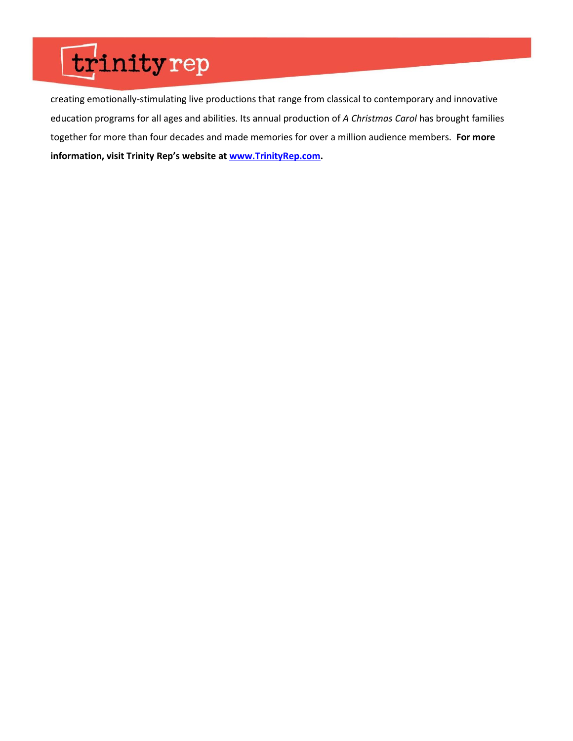creating emotionally-stimulating live productions that range from classical to contemporary and innovative education programs for all ages and abilities. Its annual production of *A Christmas Carol* has brought families together for more than four decades and made memories for over a million audience members. **For more information, visit Trinity Rep's website at [www.TrinityRep.com.](http://www.trinityrep.com/)**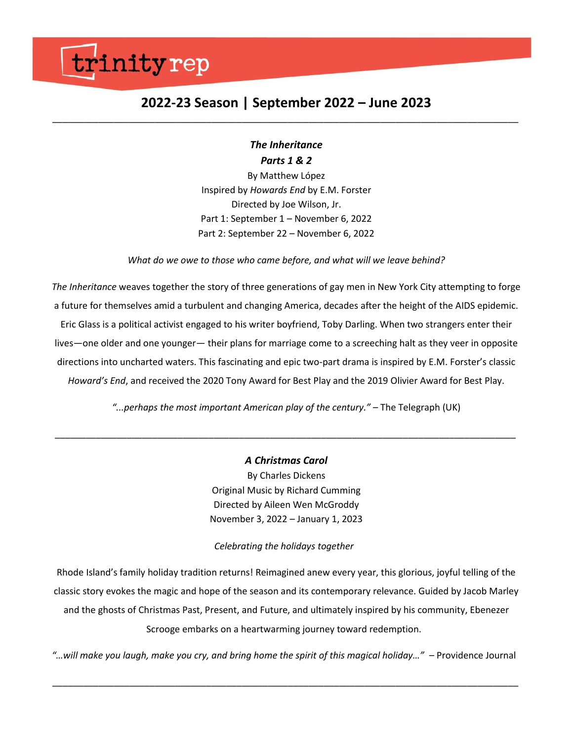### **2022-23 Season | September 2022 – June 2023** *\_\_\_\_\_\_\_\_\_\_\_\_\_\_\_\_\_\_\_\_\_\_\_\_\_\_\_\_\_\_\_\_\_\_\_\_\_\_\_\_\_\_\_\_\_\_\_\_\_\_\_\_\_\_\_\_\_\_\_\_\_\_\_\_\_\_\_\_\_\_\_\_\_\_\_\_\_\_\_\_\_\_\_\_\_\_\_\_\_\_\_*

### *The Inheritance Parts 1 & 2*

By Matthew López Inspired by *Howards End* by E.M. Forster Directed by Joe Wilson, Jr. Part 1: September 1 – November 6, 2022 Part 2: September 22 – November 6, 2022

*What do we owe to those who came before, and what will we leave behind?*

*The Inheritance* weaves together the story of three generations of gay men in New York City attempting to forge a future for themselves amid a turbulent and changing America, decades after the height of the AIDS epidemic. Eric Glass is a political activist engaged to his writer boyfriend, Toby Darling. When two strangers enter their lives—one older and one younger— their plans for marriage come to a screeching halt as they veer in opposite directions into uncharted waters. This fascinating and epic two-part drama is inspired by E.M. Forster's classic *Howard's End*, and received the 2020 Tony Award for Best Play and the 2019 Olivier Award for Best Play.

*"...perhaps the most important American play of the century."* – The Telegraph (UK)

*\_\_\_\_\_\_\_\_\_\_\_\_\_\_\_\_\_\_\_\_\_\_\_\_\_\_\_\_\_\_\_\_\_\_\_\_\_\_\_\_\_\_\_\_\_\_\_\_\_\_\_\_\_\_\_\_\_\_\_\_\_\_\_\_\_\_\_\_\_\_\_\_\_\_\_\_\_\_\_\_\_\_\_\_\_\_\_\_\_\_*

*A Christmas Carol* By Charles Dickens Original Music by Richard Cumming Directed by Aileen Wen McGroddy November 3, 2022 – January 1, 2023

*Celebrating the holidays together*

Rhode Island's family holiday tradition returns! Reimagined anew every year, this glorious, joyful telling of the classic story evokes the magic and hope of the season and its contemporary relevance. Guided by Jacob Marley and the ghosts of Christmas Past, Present, and Future, and ultimately inspired by his community, Ebenezer Scrooge embarks on a heartwarming journey toward redemption.

*"…will make you laugh, make you cry, and bring home the spirit of this magical holiday…"* – Providence Journal

*\_\_\_\_\_\_\_\_\_\_\_\_\_\_\_\_\_\_\_\_\_\_\_\_\_\_\_\_\_\_\_\_\_\_\_\_\_\_\_\_\_\_\_\_\_\_\_\_\_\_\_\_\_\_\_\_\_\_\_\_\_\_\_\_\_\_\_\_\_\_\_\_\_\_\_\_\_\_\_\_\_\_\_\_\_\_\_\_\_\_\_*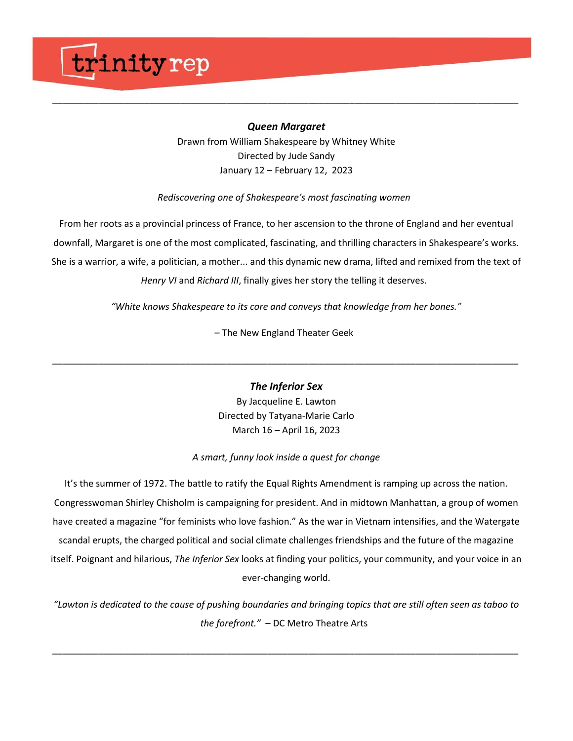### *Queen Margaret*

*\_\_\_\_\_\_\_\_\_\_\_\_\_\_\_\_\_\_\_\_\_\_\_\_\_\_\_\_\_\_\_\_\_\_\_\_\_\_\_\_\_\_\_\_\_\_\_\_\_\_\_\_\_\_\_\_\_\_\_\_\_\_\_\_\_\_\_\_\_\_\_\_\_\_\_\_\_\_\_\_\_\_\_\_\_\_\_\_\_\_\_*

Drawn from William Shakespeare by Whitney White Directed by Jude Sandy January 12 – February 12, 2023

#### *Rediscovering one of Shakespeare's most fascinating women*

From her roots as a provincial princess of France, to her ascension to the throne of England and her eventual downfall, Margaret is one of the most complicated, fascinating, and thrilling characters in Shakespeare's works. She is a warrior, a wife, a politician, a mother... and this dynamic new drama, lifted and remixed from the text of *Henry VI* and *Richard III*, finally gives her story the telling it deserves.

*"White knows Shakespeare to its core and conveys that knowledge from her bones."*

– The New England Theater Geek

*The Inferior Sex*

*\_\_\_\_\_\_\_\_\_\_\_\_\_\_\_\_\_\_\_\_\_\_\_\_\_\_\_\_\_\_\_\_\_\_\_\_\_\_\_\_\_\_\_\_\_\_\_\_\_\_\_\_\_\_\_\_\_\_\_\_\_\_\_\_\_\_\_\_\_\_\_\_\_\_\_\_\_\_\_\_\_\_\_\_\_\_\_\_\_\_\_*

By Jacqueline E. Lawton Directed by Tatyana-Marie Carlo March 16 – April 16, 2023

### *A smart, funny look inside a quest for change*

It's the summer of 1972. The battle to ratify the Equal Rights Amendment is ramping up across the nation. Congresswoman Shirley Chisholm is campaigning for president. And in midtown Manhattan, a group of women have created a magazine "for feminists who love fashion." As the war in Vietnam intensifies, and the Watergate scandal erupts, the charged political and social climate challenges friendships and the future of the magazine itself. Poignant and hilarious, *The Inferior Sex* looks at finding your politics, your community, and your voice in an ever-changing world.

*"Lawton is dedicated to the cause of pushing boundaries and bringing topics that are still often seen as taboo to the forefront."* – DC Metro Theatre Arts

*\_\_\_\_\_\_\_\_\_\_\_\_\_\_\_\_\_\_\_\_\_\_\_\_\_\_\_\_\_\_\_\_\_\_\_\_\_\_\_\_\_\_\_\_\_\_\_\_\_\_\_\_\_\_\_\_\_\_\_\_\_\_\_\_\_\_\_\_\_\_\_\_\_\_\_\_\_\_\_\_\_\_\_\_\_\_\_\_\_\_\_*